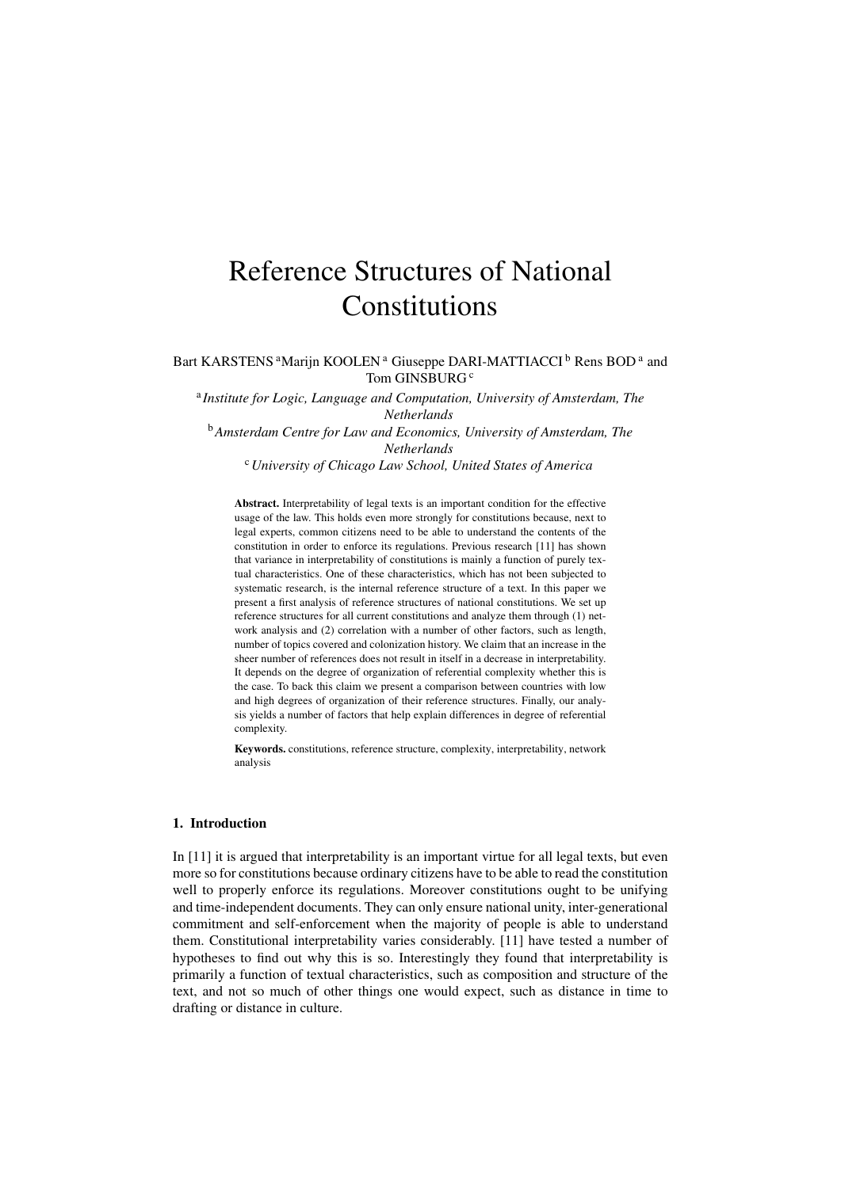# Reference Structures of National Constitutions

Bart KARSTENS<sup>a</sup>Marijn KOOLEN<sup>a</sup> Giuseppe DARI-MATTIACCI<sup>b</sup> Rens BOD<sup>a</sup> and Tom GINSBURG<sup>c</sup>

a *Institute for Logic, Language and Computation, University of Amsterdam, The Netherlands* <sup>b</sup>*Amsterdam Centre for Law and Economics, University of Amsterdam, The*

*Netherlands*

<sup>c</sup>*University of Chicago Law School, United States of America*

Abstract. Interpretability of legal texts is an important condition for the effective usage of the law. This holds even more strongly for constitutions because, next to legal experts, common citizens need to be able to understand the contents of the constitution in order to enforce its regulations. Previous research [11] has shown that variance in interpretability of constitutions is mainly a function of purely textual characteristics. One of these characteristics, which has not been subjected to systematic research, is the internal reference structure of a text. In this paper we present a first analysis of reference structures of national constitutions. We set up reference structures for all current constitutions and analyze them through (1) network analysis and (2) correlation with a number of other factors, such as length, number of topics covered and colonization history. We claim that an increase in the sheer number of references does not result in itself in a decrease in interpretability. It depends on the degree of organization of referential complexity whether this is the case. To back this claim we present a comparison between countries with low and high degrees of organization of their reference structures. Finally, our analysis yields a number of factors that help explain differences in degree of referential complexity.

Keywords. constitutions, reference structure, complexity, interpretability, network analysis

## 1. Introduction

In [11] it is argued that interpretability is an important virtue for all legal texts, but even more so for constitutions because ordinary citizens have to be able to read the constitution well to properly enforce its regulations. Moreover constitutions ought to be unifying and time-independent documents. They can only ensure national unity, inter-generational commitment and self-enforcement when the majority of people is able to understand them. Constitutional interpretability varies considerably. [11] have tested a number of hypotheses to find out why this is so. Interestingly they found that interpretability is primarily a function of textual characteristics, such as composition and structure of the text, and not so much of other things one would expect, such as distance in time to drafting or distance in culture.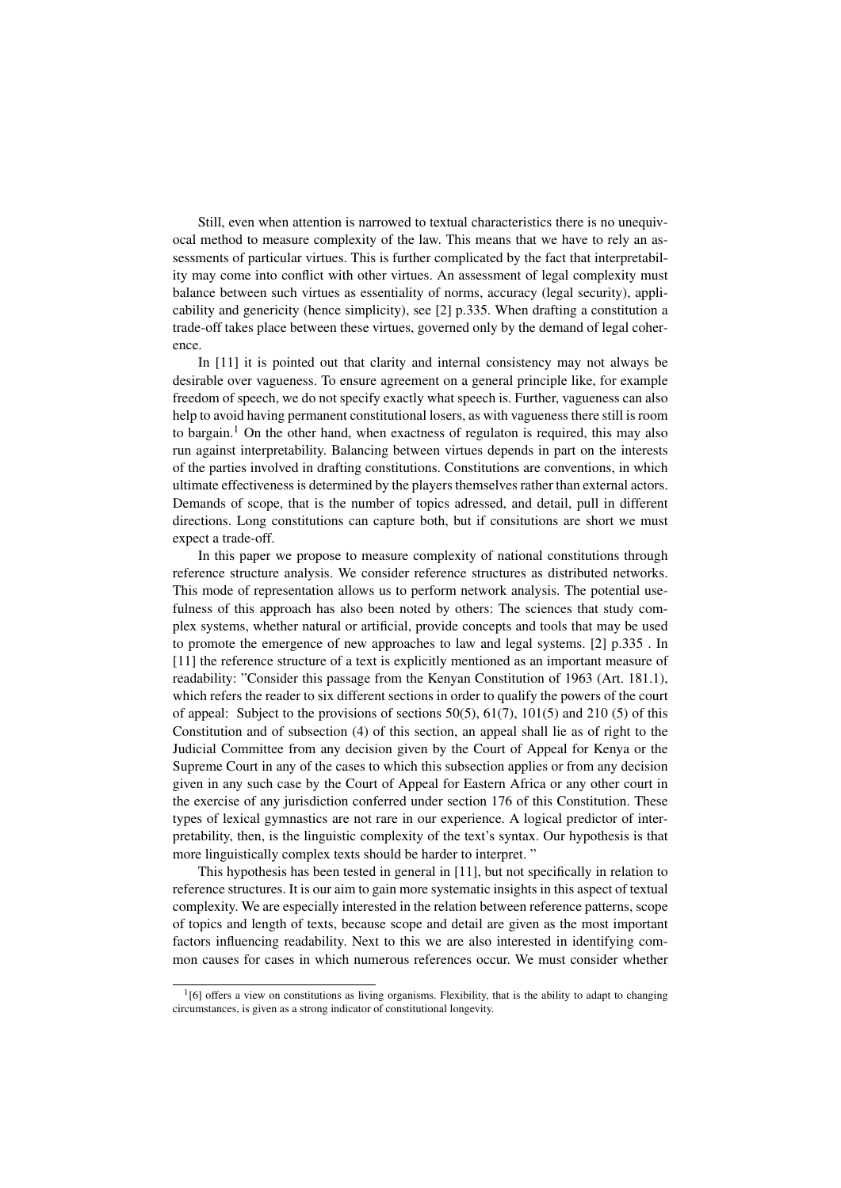Still, even when attention is narrowed to textual characteristics there is no unequivocal method to measure complexity of the law. This means that we have to rely an assessments of particular virtues. This is further complicated by the fact that interpretability may come into conflict with other virtues. An assessment of legal complexity must balance between such virtues as essentiality of norms, accuracy (legal security), applicability and genericity (hence simplicity), see [2] p.335. When drafting a constitution a trade-off takes place between these virtues, governed only by the demand of legal coherence.

In [11] it is pointed out that clarity and internal consistency may not always be desirable over vagueness. To ensure agreement on a general principle like, for example freedom of speech, we do not specify exactly what speech is. Further, vagueness can also help to avoid having permanent constitutional losers, as with vagueness there still is room to bargain.<sup>1</sup> On the other hand, when exactness of regulaton is required, this may also run against interpretability. Balancing between virtues depends in part on the interests of the parties involved in drafting constitutions. Constitutions are conventions, in which ultimate effectiveness is determined by the players themselves rather than external actors. Demands of scope, that is the number of topics adressed, and detail, pull in different directions. Long constitutions can capture both, but if consitutions are short we must expect a trade-off.

In this paper we propose to measure complexity of national constitutions through reference structure analysis. We consider reference structures as distributed networks. This mode of representation allows us to perform network analysis. The potential usefulness of this approach has also been noted by others: The sciences that study complex systems, whether natural or artificial, provide concepts and tools that may be used to promote the emergence of new approaches to law and legal systems. [2] p.335 . In [11] the reference structure of a text is explicitly mentioned as an important measure of readability: "Consider this passage from the Kenyan Constitution of 1963 (Art. 181.1), which refers the reader to six different sections in order to qualify the powers of the court of appeal: Subject to the provisions of sections  $50(5)$ ,  $61(7)$ ,  $101(5)$  and  $210(5)$  of this Constitution and of subsection (4) of this section, an appeal shall lie as of right to the Judicial Committee from any decision given by the Court of Appeal for Kenya or the Supreme Court in any of the cases to which this subsection applies or from any decision given in any such case by the Court of Appeal for Eastern Africa or any other court in the exercise of any jurisdiction conferred under section 176 of this Constitution. These types of lexical gymnastics are not rare in our experience. A logical predictor of interpretability, then, is the linguistic complexity of the text's syntax. Our hypothesis is that more linguistically complex texts should be harder to interpret. "

This hypothesis has been tested in general in [11], but not specifically in relation to reference structures. It is our aim to gain more systematic insights in this aspect of textual complexity. We are especially interested in the relation between reference patterns, scope of topics and length of texts, because scope and detail are given as the most important factors influencing readability. Next to this we are also interested in identifying common causes for cases in which numerous references occur. We must consider whether

<sup>1</sup> [6] offers a view on constitutions as living organisms. Flexibility, that is the ability to adapt to changing circumstances, is given as a strong indicator of constitutional longevity.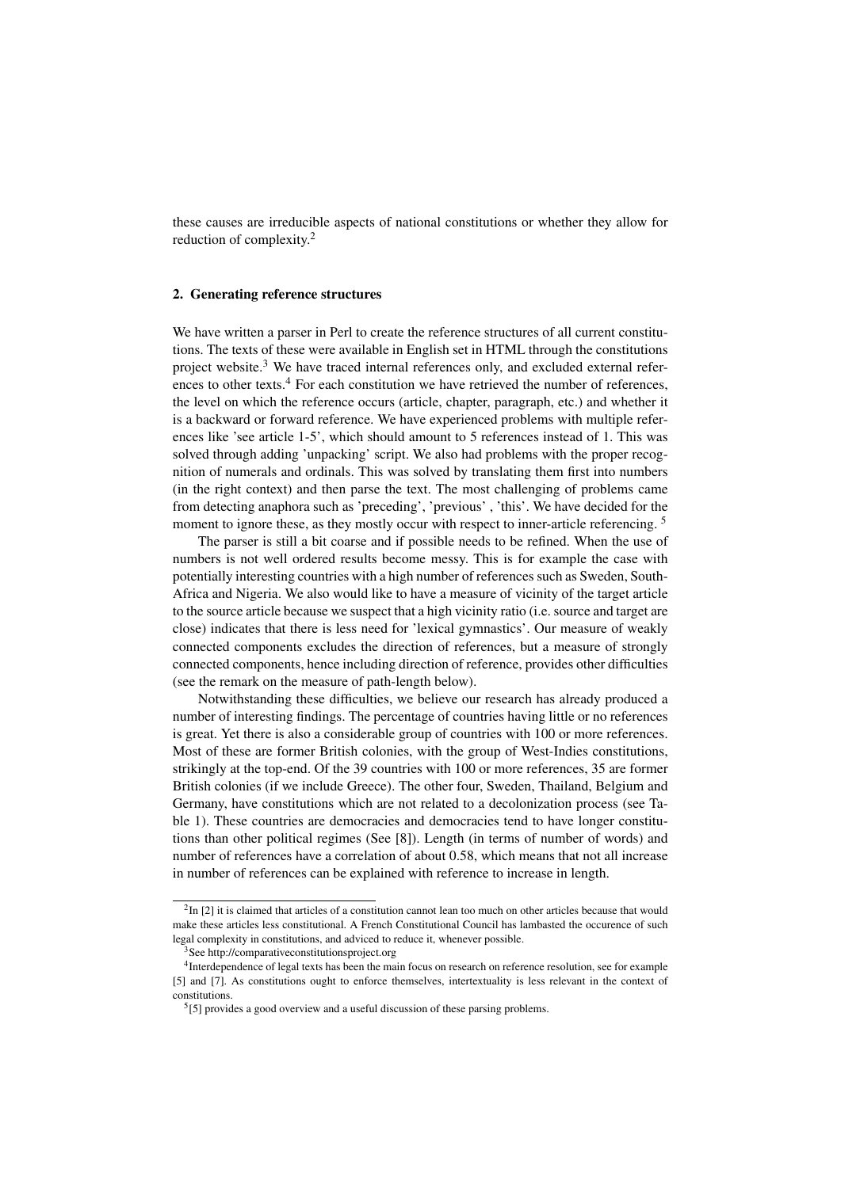these causes are irreducible aspects of national constitutions or whether they allow for reduction of complexity.<sup>2</sup>

#### 2. Generating reference structures

We have written a parser in Perl to create the reference structures of all current constitutions. The texts of these were available in English set in HTML through the constitutions project website.<sup>3</sup> We have traced internal references only, and excluded external references to other texts.<sup>4</sup> For each constitution we have retrieved the number of references, the level on which the reference occurs (article, chapter, paragraph, etc.) and whether it is a backward or forward reference. We have experienced problems with multiple references like 'see article 1-5', which should amount to 5 references instead of 1. This was solved through adding 'unpacking' script. We also had problems with the proper recognition of numerals and ordinals. This was solved by translating them first into numbers (in the right context) and then parse the text. The most challenging of problems came from detecting anaphora such as 'preceding', 'previous' , 'this'. We have decided for the moment to ignore these, as they mostly occur with respect to inner-article referencing.<sup>5</sup>

The parser is still a bit coarse and if possible needs to be refined. When the use of numbers is not well ordered results become messy. This is for example the case with potentially interesting countries with a high number of references such as Sweden, South-Africa and Nigeria. We also would like to have a measure of vicinity of the target article to the source article because we suspect that a high vicinity ratio (i.e. source and target are close) indicates that there is less need for 'lexical gymnastics'. Our measure of weakly connected components excludes the direction of references, but a measure of strongly connected components, hence including direction of reference, provides other difficulties (see the remark on the measure of path-length below).

Notwithstanding these difficulties, we believe our research has already produced a number of interesting findings. The percentage of countries having little or no references is great. Yet there is also a considerable group of countries with 100 or more references. Most of these are former British colonies, with the group of West-Indies constitutions, strikingly at the top-end. Of the 39 countries with 100 or more references, 35 are former British colonies (if we include Greece). The other four, Sweden, Thailand, Belgium and Germany, have constitutions which are not related to a decolonization process (see Table 1). These countries are democracies and democracies tend to have longer constitutions than other political regimes (See [8]). Length (in terms of number of words) and number of references have a correlation of about 0.58, which means that not all increase in number of references can be explained with reference to increase in length.

 ${}^{2}$ In [2] it is claimed that articles of a constitution cannot lean too much on other articles because that would make these articles less constitutional. A French Constitutional Council has lambasted the occurence of such legal complexity in constitutions, and adviced to reduce it, whenever possible.

<sup>3</sup>See http://comparativeconstitutionsproject.org

<sup>4</sup> Interdependence of legal texts has been the main focus on research on reference resolution, see for example [5] and [7]. As constitutions ought to enforce themselves, intertextuality is less relevant in the context of constitutions.

 $<sup>5</sup>[5]$  provides a good overview and a useful discussion of these parsing problems.</sup>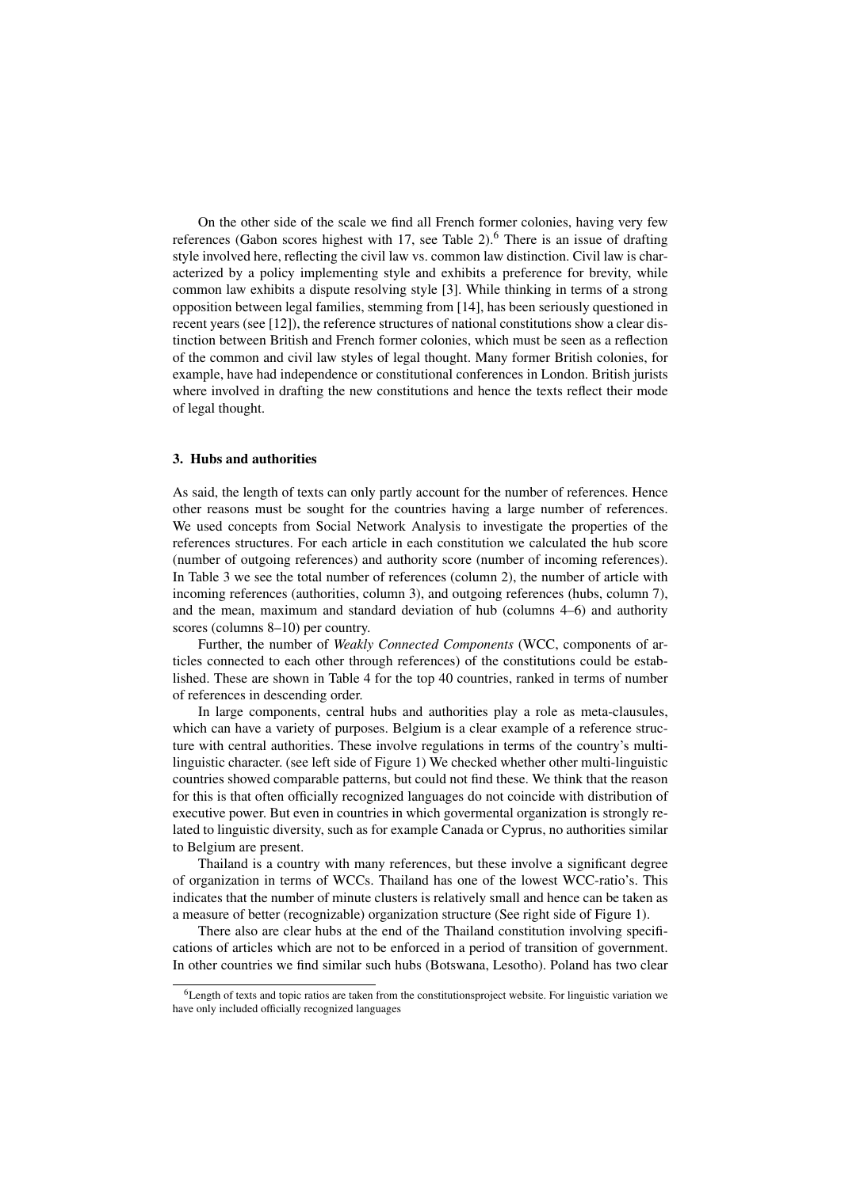On the other side of the scale we find all French former colonies, having very few references (Gabon scores highest with  $17$ , see Table 2).<sup>6</sup> There is an issue of drafting style involved here, reflecting the civil law vs. common law distinction. Civil law is characterized by a policy implementing style and exhibits a preference for brevity, while common law exhibits a dispute resolving style [3]. While thinking in terms of a strong opposition between legal families, stemming from [14], has been seriously questioned in recent years (see [12]), the reference structures of national constitutions show a clear distinction between British and French former colonies, which must be seen as a reflection of the common and civil law styles of legal thought. Many former British colonies, for example, have had independence or constitutional conferences in London. British jurists where involved in drafting the new constitutions and hence the texts reflect their mode of legal thought.

#### 3. Hubs and authorities

As said, the length of texts can only partly account for the number of references. Hence other reasons must be sought for the countries having a large number of references. We used concepts from Social Network Analysis to investigate the properties of the references structures. For each article in each constitution we calculated the hub score (number of outgoing references) and authority score (number of incoming references). In Table 3 we see the total number of references (column 2), the number of article with incoming references (authorities, column 3), and outgoing references (hubs, column 7), and the mean, maximum and standard deviation of hub (columns 4–6) and authority scores (columns 8–10) per country.

Further, the number of *Weakly Connected Components* (WCC, components of articles connected to each other through references) of the constitutions could be established. These are shown in Table 4 for the top 40 countries, ranked in terms of number of references in descending order.

In large components, central hubs and authorities play a role as meta-clausules, which can have a variety of purposes. Belgium is a clear example of a reference structure with central authorities. These involve regulations in terms of the country's multilinguistic character. (see left side of Figure 1) We checked whether other multi-linguistic countries showed comparable patterns, but could not find these. We think that the reason for this is that often officially recognized languages do not coincide with distribution of executive power. But even in countries in which govermental organization is strongly related to linguistic diversity, such as for example Canada or Cyprus, no authorities similar to Belgium are present.

Thailand is a country with many references, but these involve a significant degree of organization in terms of WCCs. Thailand has one of the lowest WCC-ratio's. This indicates that the number of minute clusters is relatively small and hence can be taken as a measure of better (recognizable) organization structure (See right side of Figure 1).

There also are clear hubs at the end of the Thailand constitution involving specifications of articles which are not to be enforced in a period of transition of government. In other countries we find similar such hubs (Botswana, Lesotho). Poland has two clear

<sup>&</sup>lt;sup>6</sup>Length of texts and topic ratios are taken from the constitutionsproject website. For linguistic variation we have only included officially recognized languages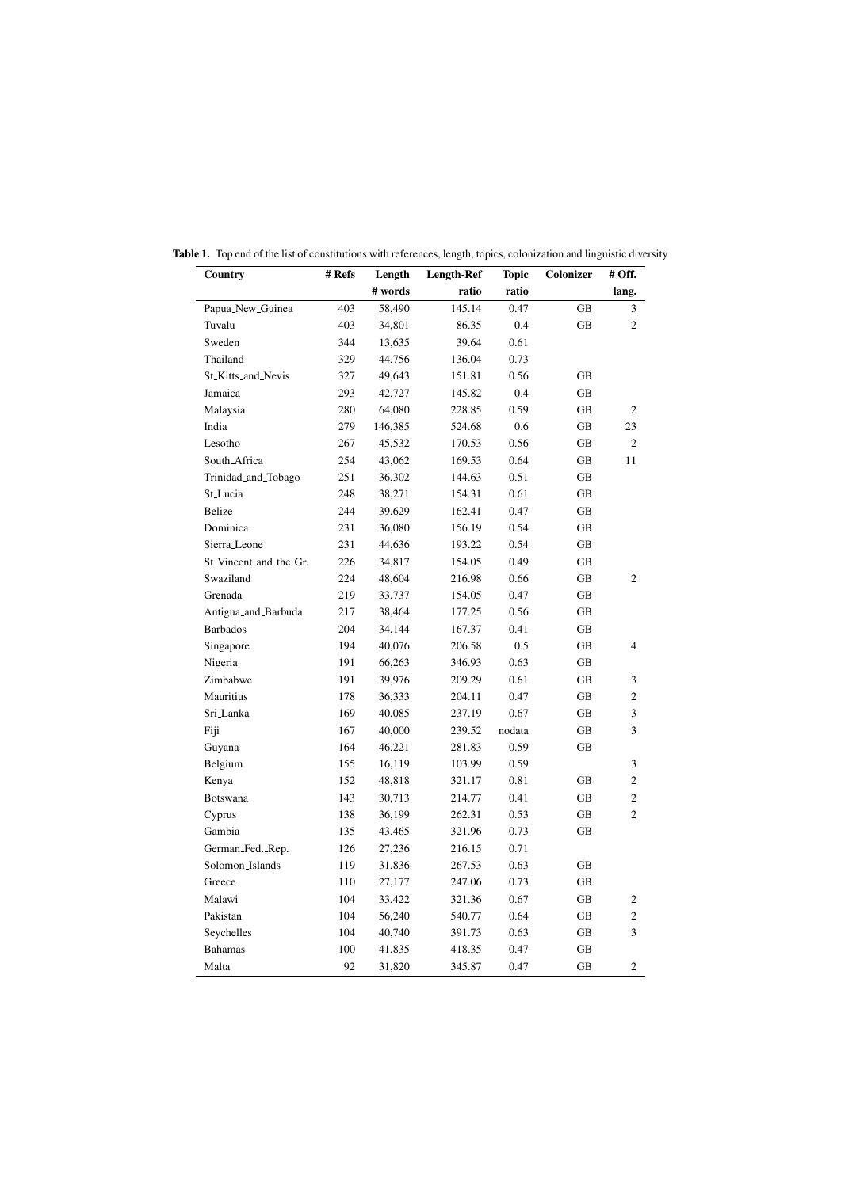| Country                | # Refs | Length  | <b>Length-Ref</b> | <b>Topic</b> | Colonizer | # Off.         |
|------------------------|--------|---------|-------------------|--------------|-----------|----------------|
|                        |        | # words | ratio             | ratio        |           | lang.          |
| Papua_New_Guinea       | 403    | 58,490  | 145.14            | 0.47         | GB        | 3              |
| Tuvalu                 | 403    | 34,801  | 86.35             | 0.4          | GB        | $\overline{c}$ |
| Sweden                 | 344    | 13,635  | 39.64             | 0.61         |           |                |
| Thailand               | 329    | 44,756  | 136.04            | 0.73         |           |                |
| St_Kitts_and_Nevis     | 327    | 49,643  | 151.81            | 0.56         | GB        |                |
| Jamaica                | 293    | 42,727  | 145.82            | 0.4          | GB        |                |
| Malaysia               | 280    | 64,080  | 228.85            | 0.59         | GВ        | $\overline{2}$ |
| India                  | 279    | 146,385 | 524.68            | 0.6          | GB        | 23             |
| Lesotho                | 267    | 45,532  | 170.53            | 0.56         | GB        | $\overline{c}$ |
| South_Africa           | 254    | 43,062  | 169.53            | 0.64         | GB        | 11             |
| Trinidad_and_Tobago    | 251    | 36,302  | 144.63            | 0.51         | GB        |                |
| St_Lucia               | 248    | 38,271  | 154.31            | 0.61         | GB        |                |
| Belize                 | 244    | 39,629  | 162.41            | 0.47         | GB        |                |
| Dominica               | 231    | 36,080  | 156.19            | 0.54         | GB        |                |
| Sierra_Leone           | 231    | 44,636  | 193.22            | 0.54         | GB        |                |
| St_Vincent_and_the_Gr. | 226    | 34,817  | 154.05            | 0.49         | GB        |                |
| Swaziland              | 224    | 48,604  | 216.98            | 0.66         | GВ        | $\overline{2}$ |
| Grenada                | 219    | 33,737  | 154.05            | 0.47         | GB        |                |
| Antigua_and_Barbuda    | 217    | 38,464  | 177.25            | 0.56         | GB        |                |
| <b>Barbados</b>        | 204    | 34,144  | 167.37            | 0.41         | GB        |                |
| Singapore              | 194    | 40,076  | 206.58            | 0.5          | GB        | $\overline{4}$ |
| Nigeria                | 191    | 66,263  | 346.93            | 0.63         | GB        |                |
| Zimbabwe               | 191    | 39,976  | 209.29            | 0.61         | GB        | 3              |
| Mauritius              | 178    | 36,333  | 204.11            | 0.47         | GB        | 2              |
| Sri_Lanka              | 169    | 40,085  | 237.19            | 0.67         | GB        | 3              |
| Fiji                   | 167    | 40,000  | 239.52            | nodata       | GВ        | 3              |
| Guyana                 | 164    | 46,221  | 281.83            | 0.59         | GB        |                |
| Belgium                | 155    | 16,119  | 103.99            | 0.59         |           | 3              |
| Kenya                  | 152    | 48,818  | 321.17            | 0.81         | GB        | $\overline{c}$ |
| Botswana               | 143    | 30,713  | 214.77            | 0.41         | GB        | $\overline{c}$ |
| Cyprus                 | 138    | 36,199  | 262.31            | 0.53         | GB        | $\overline{c}$ |
| Gambia                 | 135    | 43,465  | 321.96            | 0.73         | GВ        |                |
| German_Fed._Rep.       | 126    | 27,236  | 216.15            | 0.71         |           |                |
| Solomon_Islands        | 119    | 31,836  | 267.53            | 0.63         | GB        |                |
| Greece                 | 110    | 27,177  | 247.06            | 0.73         | GB        |                |
| Malawi                 | 104    | 33,422  | 321.36            | 0.67         | GВ        | $\overline{c}$ |
| Pakistan               | 104    | 56,240  | 540.77            | 0.64         | GB        | $\overline{c}$ |
| Seychelles             | 104    | 40,740  | 391.73            | 0.63         | GB        | 3              |
| <b>Bahamas</b>         | 100    | 41,835  | 418.35            | 0.47         | GB        |                |
| Malta                  | 92     | 31,820  | 345.87            | 0.47         | GB        | 2              |

Table 1. Top end of the list of constitutions with references, length, topics, colonization and linguistic diversity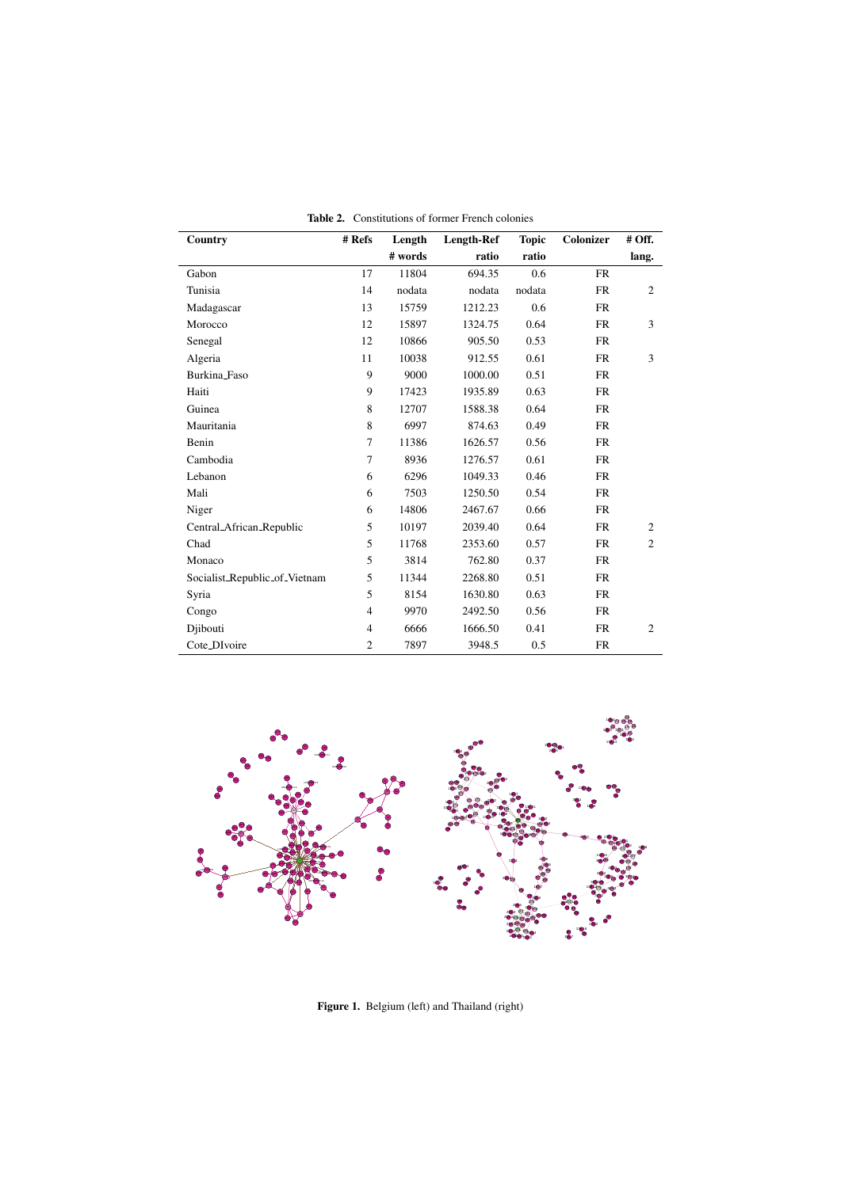| Country                       | # Refs         | Length  | Length-Ref | <b>Topic</b> | Colonizer | # Off.         |
|-------------------------------|----------------|---------|------------|--------------|-----------|----------------|
|                               |                | # words | ratio      | ratio        |           | lang.          |
| Gabon                         | 17             | 11804   | 694.35     | 0.6          | <b>FR</b> |                |
| Tunisia                       | 14             | nodata  | nodata     | nodata       | <b>FR</b> | $\overline{2}$ |
| Madagascar                    | 13             | 15759   | 1212.23    | 0.6          | <b>FR</b> |                |
| Morocco                       | 12             | 15897   | 1324.75    | 0.64         | <b>FR</b> | 3              |
| Senegal                       | 12             | 10866   | 905.50     | 0.53         | <b>FR</b> |                |
| Algeria                       | 11             | 10038   | 912.55     | 0.61         | <b>FR</b> | 3              |
| Burkina_Faso                  | 9              | 9000    | 1000.00    | 0.51         | <b>FR</b> |                |
| Haiti                         | 9              | 17423   | 1935.89    | 0.63         | <b>FR</b> |                |
| Guinea                        | 8              | 12707   | 1588.38    | 0.64         | <b>FR</b> |                |
| Mauritania                    | 8              | 6997    | 874.63     | 0.49         | <b>FR</b> |                |
| Benin                         | 7              | 11386   | 1626.57    | 0.56         | <b>FR</b> |                |
| Cambodia                      | 7              | 8936    | 1276.57    | 0.61         | <b>FR</b> |                |
| Lebanon                       | 6              | 6296    | 1049.33    | 0.46         | <b>FR</b> |                |
| Mali                          | 6              | 7503    | 1250.50    | 0.54         | <b>FR</b> |                |
| Niger                         | 6              | 14806   | 2467.67    | 0.66         | <b>FR</b> |                |
| Central_African_Republic      | 5              | 10197   | 2039.40    | 0.64         | <b>FR</b> | 2              |
| Chad                          | 5              | 11768   | 2353.60    | 0.57         | <b>FR</b> | 2              |
| Monaco                        | 5              | 3814    | 762.80     | 0.37         | <b>FR</b> |                |
| Socialist_Republic_of_Vietnam | 5              | 11344   | 2268.80    | 0.51         | <b>FR</b> |                |
| Syria                         | 5              | 8154    | 1630.80    | 0.63         | <b>FR</b> |                |
| Congo                         | $\overline{4}$ | 9970    | 2492.50    | 0.56         | <b>FR</b> |                |
| Djibouti                      | $\overline{4}$ | 6666    | 1666.50    | 0.41         | <b>FR</b> | $\overline{2}$ |
| Cote_DIvoire                  | $\overline{c}$ | 7897    | 3948.5     | 0.5          | <b>FR</b> |                |

Table 2. Constitutions of former French colonies



Figure 1. Belgium (left) and Thailand (right)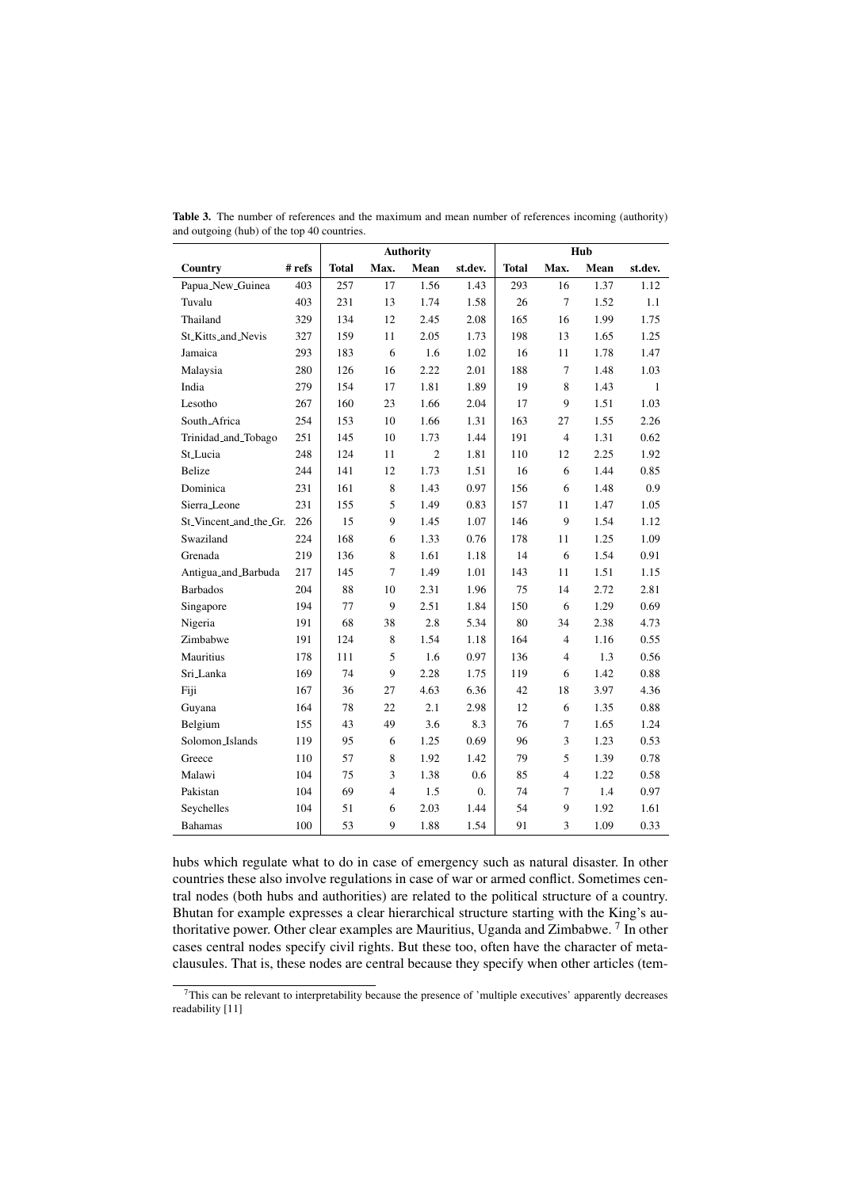|                        |          | <b>Authority</b> |                |                | Hub              |              |                |      |              |
|------------------------|----------|------------------|----------------|----------------|------------------|--------------|----------------|------|--------------|
| Country                | $#$ refs | <b>Total</b>     | Max.           | Mean           | st.dev.          | <b>Total</b> | Max.           | Mean | st.dev.      |
| Papua_New_Guinea       | 403      | 257              | 17             | 1.56           | 1.43             | 293          | 16             | 1.37 | 1.12         |
| Tuvalu                 | 403      | 231              | 13             | 1.74           | 1.58             | 26           | $\overline{7}$ | 1.52 | 1.1          |
| Thailand               | 329      | 134              | 12             | 2.45           | 2.08             | 165          | 16             | 1.99 | 1.75         |
| St_Kitts_and_Nevis     | 327      | 159              | 11             | 2.05           | 1.73             | 198          | 13             | 1.65 | 1.25         |
| Jamaica                | 293      | 183              | 6              | 1.6            | 1.02             | 16           | 11             | 1.78 | 1.47         |
| Malaysia               | 280      | 126              | 16             | 2.22           | 2.01             | 188          | 7              | 1.48 | 1.03         |
| India                  | 279      | 154              | 17             | 1.81           | 1.89             | 19           | 8              | 1.43 | $\mathbf{1}$ |
| Lesotho                | 267      | 160              | 23             | 1.66           | 2.04             | 17           | 9              | 1.51 | 1.03         |
| South_Africa           | 254      | 153              | 10             | 1.66           | 1.31             | 163          | 27             | 1.55 | 2.26         |
| Trinidad_and_Tobago    | 251      | 145              | 10             | 1.73           | 1.44             | 191          | $\overline{4}$ | 1.31 | 0.62         |
| St_Lucia               | 248      | 124              | 11             | $\overline{c}$ | 1.81             | 110          | 12             | 2.25 | 1.92         |
| <b>Belize</b>          | 244      | 141              | 12             | 1.73           | 1.51             | 16           | 6              | 1.44 | 0.85         |
| Dominica               | 231      | 161              | 8              | 1.43           | 0.97             | 156          | 6              | 1.48 | 0.9          |
| Sierra_Leone           | 231      | 155              | 5              | 1.49           | 0.83             | 157          | 11             | 1.47 | 1.05         |
| St_Vincent_and_the_Gr. | 226      | 15               | 9              | 1.45           | 1.07             | 146          | 9              | 1.54 | 1.12         |
| Swaziland              | 224      | 168              | 6              | 1.33           | 0.76             | 178          | 11             | 1.25 | 1.09         |
| Grenada                | 219      | 136              | 8              | 1.61           | 1.18             | 14           | 6              | 1.54 | 0.91         |
| Antigua_and_Barbuda    | 217      | 145              | $\overline{7}$ | 1.49           | 1.01             | 143          | 11             | 1.51 | 1.15         |
| <b>Barbados</b>        | 204      | 88               | 10             | 2.31           | 1.96             | 75           | 14             | 2.72 | 2.81         |
| Singapore              | 194      | 77               | 9              | 2.51           | 1.84             | 150          | 6              | 1.29 | 0.69         |
| Nigeria                | 191      | 68               | 38             | 2.8            | 5.34             | 80           | 34             | 2.38 | 4.73         |
| Zimbabwe               | 191      | 124              | 8              | 1.54           | 1.18             | 164          | $\overline{4}$ | 1.16 | 0.55         |
| Mauritius              | 178      | 111              | 5              | 1.6            | 0.97             | 136          | $\overline{4}$ | 1.3  | 0.56         |
| Sri Lanka              | 169      | 74               | 9              | 2.28           | 1.75             | 119          | 6              | 1.42 | 0.88         |
| Fiji                   | 167      | 36               | 27             | 4.63           | 6.36             | 42           | 18             | 3.97 | 4.36         |
| Guyana                 | 164      | 78               | 22             | 2.1            | 2.98             | 12           | 6              | 1.35 | 0.88         |
| Belgium                | 155      | 43               | 49             | 3.6            | 8.3              | 76           | 7              | 1.65 | 1.24         |
| Solomon_Islands        | 119      | 95               | 6              | 1.25           | 0.69             | 96           | 3              | 1.23 | 0.53         |
| Greece                 | 110      | 57               | 8              | 1.92           | 1.42             | 79           | 5              | 1.39 | 0.78         |
| Malawi                 | 104      | 75               | 3              | 1.38           | 0.6              | 85           | $\overline{4}$ | 1.22 | 0.58         |
| Pakistan               | 104      | 69               | $\overline{4}$ | 1.5            | $\overline{0}$ . | 74           | $\overline{7}$ | 1.4  | 0.97         |
| Seychelles             | 104      | 51               | 6              | 2.03           | 1.44             | 54           | 9              | 1.92 | 1.61         |
| <b>Bahamas</b>         | 100      | 53               | 9              | 1.88           | 1.54             | 91           | 3              | 1.09 | 0.33         |

Table 3. The number of references and the maximum and mean number of references incoming (authority) and outgoing (hub) of the top 40 countries.

hubs which regulate what to do in case of emergency such as natural disaster. In other countries these also involve regulations in case of war or armed conflict. Sometimes central nodes (both hubs and authorities) are related to the political structure of a country. Bhutan for example expresses a clear hierarchical structure starting with the King's authoritative power. Other clear examples are Mauritius, Uganda and Zimbabwe.<sup>7</sup> In other cases central nodes specify civil rights. But these too, often have the character of metaclausules. That is, these nodes are central because they specify when other articles (tem-

<sup>7</sup>This can be relevant to interpretability because the presence of 'multiple executives' apparently decreases readability [11]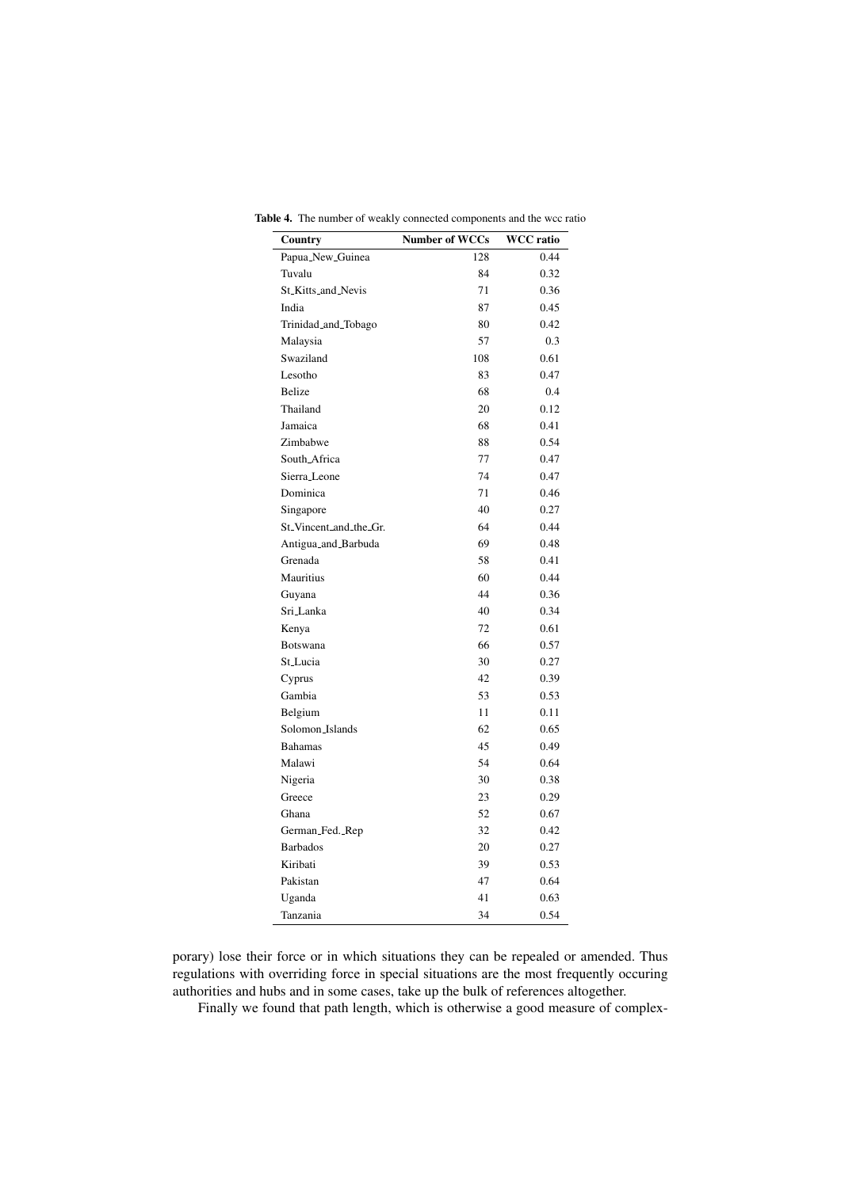| Country                                         | <b>Number of WCCs</b> | <b>WCC</b> ratio |
|-------------------------------------------------|-----------------------|------------------|
| Papua_New_Guinea                                | 128                   | 0.44             |
| Tuvalu                                          | 84                    | 0.32             |
| St. Kitts and Nevis                             | 71                    | 0.36             |
| India                                           | 87                    | 0.45             |
| Trinidad_and_Tobago                             | 80                    | 0.42             |
| Malaysia                                        | 57                    | 0.3              |
| Swaziland                                       | 108                   | 0.61             |
| Lesotho                                         | 83                    | 0.47             |
| Belize                                          | 68                    | 0.4              |
| Thailand                                        | 20                    | 0.12             |
| Jamaica                                         | 68                    | 0.41             |
| Zimbabwe                                        | 88                    | 0.54             |
| South_Africa                                    | 77                    | 0.47             |
| Sierra_Leone                                    | 74                    | 0.47             |
| Dominica                                        | 71                    | 0.46             |
| Singapore                                       | 40                    | 0.27             |
| St <sub>-</sub> Vincent <sub>-and-the-Gr.</sub> | 64                    | 0.44             |
| Antigua_and_Barbuda                             | 69                    | 0.48             |
| Grenada                                         | 58                    | 0.41             |
| <b>Mauritius</b>                                | 60                    | 0.44             |
| Guyana                                          | 44                    | 0.36             |
| Sri_Lanka                                       | 40                    | 0.34             |
| Kenya                                           | 72                    | 0.61             |
| Botswana                                        | 66                    | 0.57             |
| St_Lucia                                        | 30                    | 0.27             |
| Cyprus                                          | 42                    | 0.39             |
| Gambia                                          | 53                    | 0.53             |
| Belgium                                         | 11                    | 0.11             |
| Solomon_Islands                                 | 62                    | 0.65             |
| <b>Bahamas</b>                                  | 45                    | 0.49             |
| Malawi                                          | 54                    | 0.64             |
| Nigeria                                         | 30                    | 0.38             |
| Greece                                          | 23                    | 0.29             |
| Ghana                                           | 52                    | 0.67             |
| German_Fed._Rep                                 | 32                    | 0.42             |
| <b>Barbados</b>                                 | 20                    | 0.27             |
| Kiribati                                        | 39                    | 0.53             |
| Pakistan                                        | 47                    | 0.64             |
| Uganda                                          | 41                    | 0.63             |
| Tanzania                                        | 34                    | 0.54             |

Table 4. The number of weakly connected components and the wcc ratio

porary) lose their force or in which situations they can be repealed or amended. Thus regulations with overriding force in special situations are the most frequently occuring authorities and hubs and in some cases, take up the bulk of references altogether.

Finally we found that path length, which is otherwise a good measure of complex-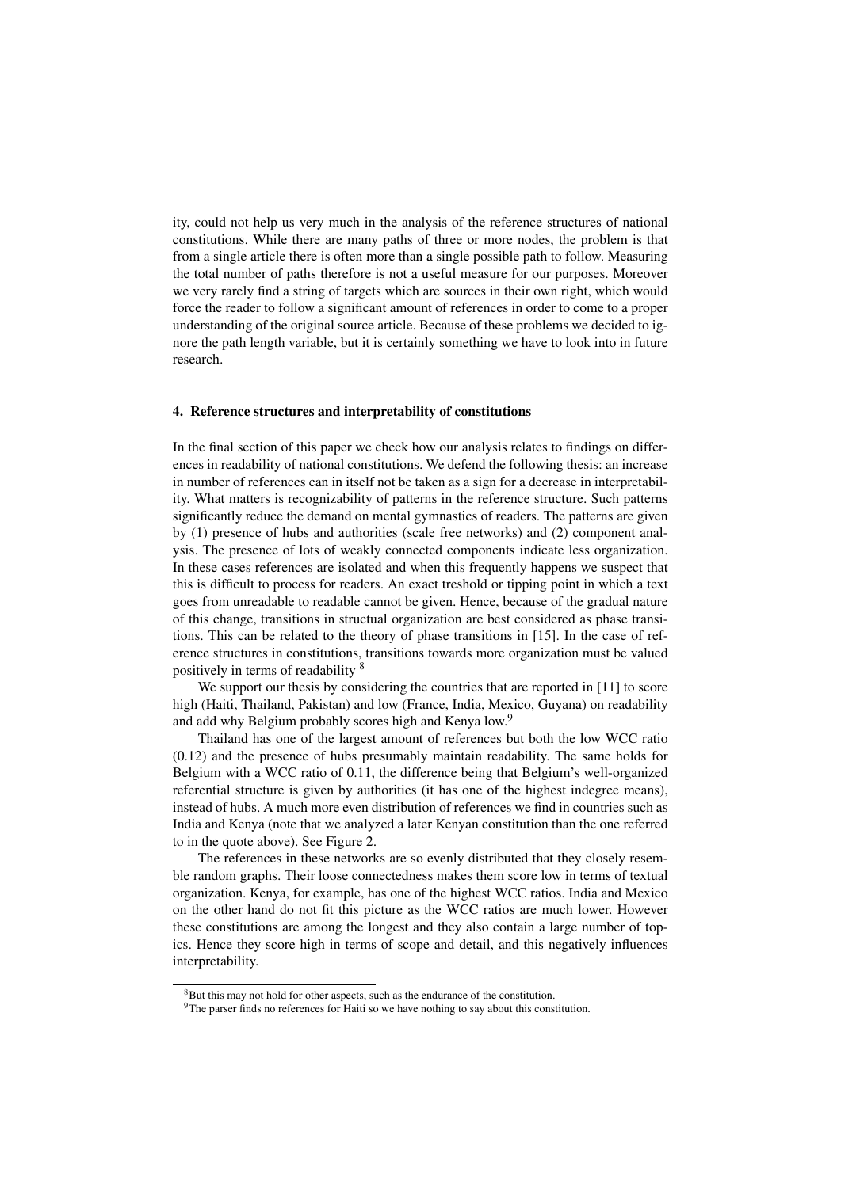ity, could not help us very much in the analysis of the reference structures of national constitutions. While there are many paths of three or more nodes, the problem is that from a single article there is often more than a single possible path to follow. Measuring the total number of paths therefore is not a useful measure for our purposes. Moreover we very rarely find a string of targets which are sources in their own right, which would force the reader to follow a significant amount of references in order to come to a proper understanding of the original source article. Because of these problems we decided to ignore the path length variable, but it is certainly something we have to look into in future research.

#### 4. Reference structures and interpretability of constitutions

In the final section of this paper we check how our analysis relates to findings on differences in readability of national constitutions. We defend the following thesis: an increase in number of references can in itself not be taken as a sign for a decrease in interpretability. What matters is recognizability of patterns in the reference structure. Such patterns significantly reduce the demand on mental gymnastics of readers. The patterns are given by (1) presence of hubs and authorities (scale free networks) and (2) component analysis. The presence of lots of weakly connected components indicate less organization. In these cases references are isolated and when this frequently happens we suspect that this is difficult to process for readers. An exact treshold or tipping point in which a text goes from unreadable to readable cannot be given. Hence, because of the gradual nature of this change, transitions in structual organization are best considered as phase transitions. This can be related to the theory of phase transitions in [15]. In the case of reference structures in constitutions, transitions towards more organization must be valued positively in terms of readability <sup>8</sup>

We support our thesis by considering the countries that are reported in [11] to score high (Haiti, Thailand, Pakistan) and low (France, India, Mexico, Guyana) on readability and add why Belgium probably scores high and Kenya low.<sup>9</sup>

Thailand has one of the largest amount of references but both the low WCC ratio (0.12) and the presence of hubs presumably maintain readability. The same holds for Belgium with a WCC ratio of 0.11, the difference being that Belgium's well-organized referential structure is given by authorities (it has one of the highest indegree means), instead of hubs. A much more even distribution of references we find in countries such as India and Kenya (note that we analyzed a later Kenyan constitution than the one referred to in the quote above). See Figure 2.

The references in these networks are so evenly distributed that they closely resemble random graphs. Their loose connectedness makes them score low in terms of textual organization. Kenya, for example, has one of the highest WCC ratios. India and Mexico on the other hand do not fit this picture as the WCC ratios are much lower. However these constitutions are among the longest and they also contain a large number of topics. Hence they score high in terms of scope and detail, and this negatively influences interpretability.

<sup>&</sup>lt;sup>8</sup>But this may not hold for other aspects, such as the endurance of the constitution.

<sup>&</sup>lt;sup>9</sup>The parser finds no references for Haiti so we have nothing to say about this constitution.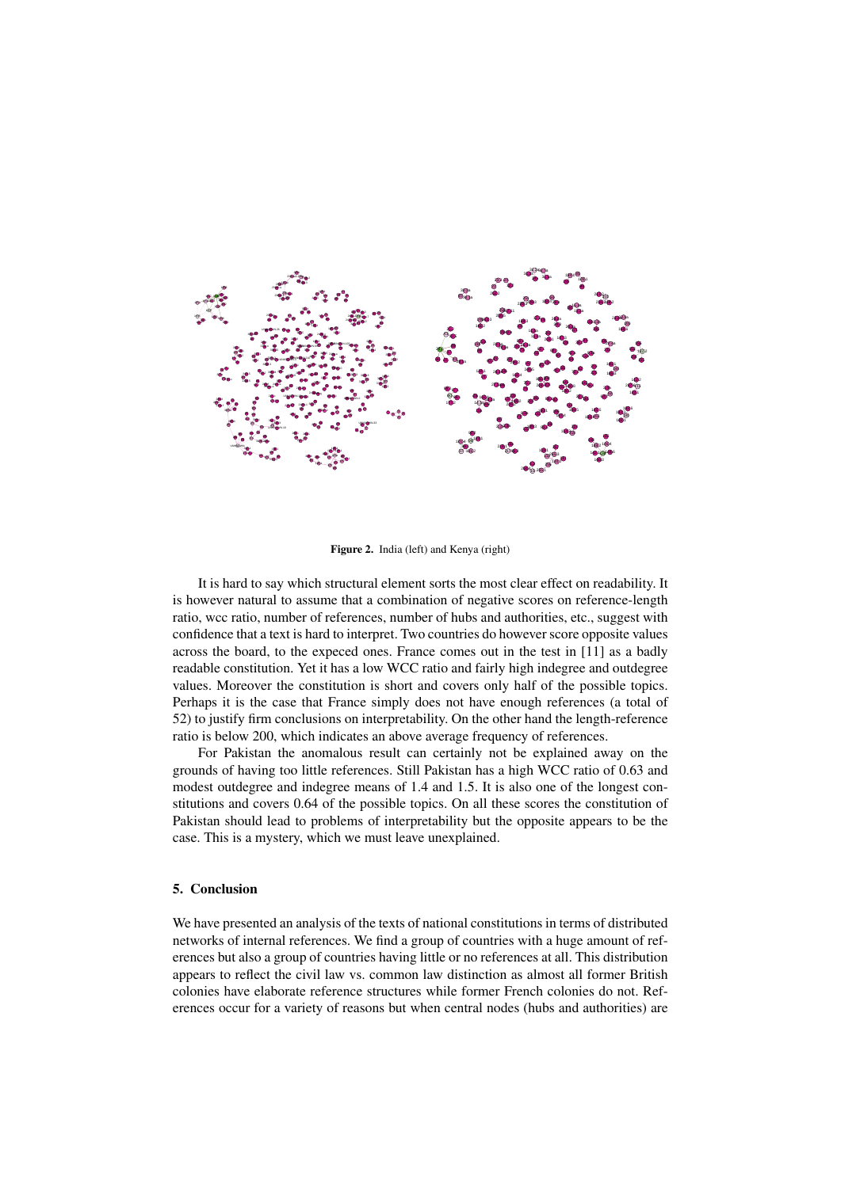

Figure 2. India (left) and Kenya (right)

It is hard to say which structural element sorts the most clear effect on readability. It is however natural to assume that a combination of negative scores on reference-length ratio, wcc ratio, number of references, number of hubs and authorities, etc., suggest with confidence that a text is hard to interpret. Two countries do however score opposite values across the board, to the expeced ones. France comes out in the test in [11] as a badly readable constitution. Yet it has a low WCC ratio and fairly high indegree and outdegree values. Moreover the constitution is short and covers only half of the possible topics. Perhaps it is the case that France simply does not have enough references (a total of 52) to justify firm conclusions on interpretability. On the other hand the length-reference ratio is below 200, which indicates an above average frequency of references.

For Pakistan the anomalous result can certainly not be explained away on the grounds of having too little references. Still Pakistan has a high WCC ratio of 0.63 and modest outdegree and indegree means of 1.4 and 1.5. It is also one of the longest constitutions and covers 0.64 of the possible topics. On all these scores the constitution of Pakistan should lead to problems of interpretability but the opposite appears to be the case. This is a mystery, which we must leave unexplained.

### 5. Conclusion

We have presented an analysis of the texts of national constitutions in terms of distributed networks of internal references. We find a group of countries with a huge amount of references but also a group of countries having little or no references at all. This distribution appears to reflect the civil law vs. common law distinction as almost all former British colonies have elaborate reference structures while former French colonies do not. References occur for a variety of reasons but when central nodes (hubs and authorities) are